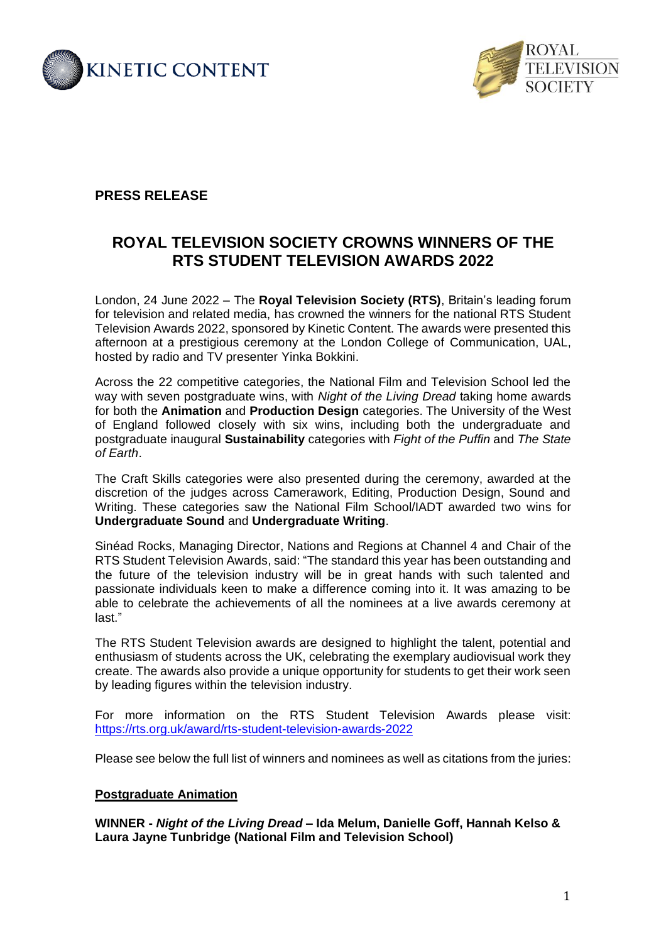



# **PRESS RELEASE**

# **ROYAL TELEVISION SOCIETY CROWNS WINNERS OF THE RTS STUDENT TELEVISION AWARDS 2022**

London, 24 June 2022 – The **Royal Television Society (RTS)**, Britain's leading forum for television and related media, has crowned the winners for the national RTS Student Television Awards 2022, sponsored by Kinetic Content. The awards were presented this afternoon at a prestigious ceremony at the London College of Communication, UAL, hosted by radio and TV presenter Yinka Bokkini.

Across the 22 competitive categories, the National Film and Television School led the way with seven postgraduate wins, with *Night of the Living Dread* taking home awards for both the **Animation** and **Production Design** categories. The University of the West of England followed closely with six wins, including both the undergraduate and postgraduate inaugural **Sustainability** categories with *Fight of the Puffin* and *The State of Earth*.

The Craft Skills categories were also presented during the ceremony, awarded at the discretion of the judges across Camerawork, Editing, Production Design, Sound and Writing. These categories saw the National Film School/IADT awarded two wins for **Undergraduate Sound** and **Undergraduate Writing**.

Sinéad Rocks, Managing Director, Nations and Regions at Channel 4 and Chair of the RTS Student Television Awards, said: "The standard this year has been outstanding and the future of the television industry will be in great hands with such talented and passionate individuals keen to make a difference coming into it. It was amazing to be able to celebrate the achievements of all the nominees at a live awards ceremony at last."

The RTS Student Television awards are designed to highlight the talent, potential and enthusiasm of students across the UK, celebrating the exemplary audiovisual work they create. The awards also provide a unique opportunity for students to get their work seen by leading figures within the television industry.

For more information on the RTS Student Television Awards please visit: <https://rts.org.uk/award/rts-student-television-awards-2022>

Please see below the full list of winners and nominees as well as citations from the juries:

# **Postgraduate Animation**

**WINNER -** *Night of the Living Dread* **– Ida Melum, Danielle Goff, Hannah Kelso & Laura Jayne Tunbridge (National Film and Television School)**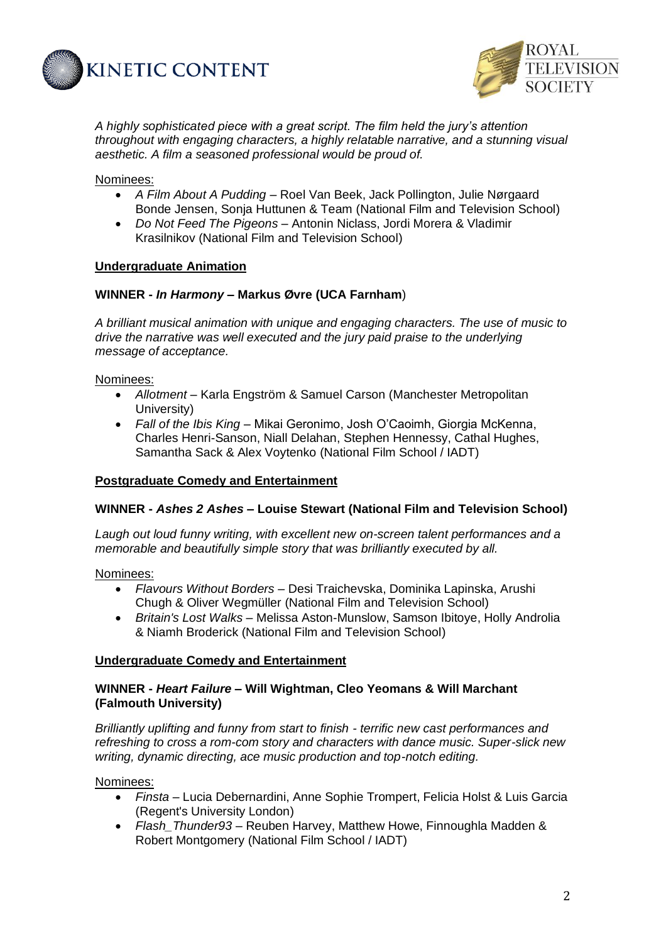



*A highly sophisticated piece with a great script. The film held the jury's attention throughout with engaging characters, a highly relatable narrative, and a stunning visual aesthetic. A film a seasoned professional would be proud of.* 

# Nominees:

- *A Film About A Pudding* Roel Van Beek, Jack Pollington, Julie Nørgaard Bonde Jensen, Sonja Huttunen & Team (National Film and Television School)
- *Do Not Feed The Pigeons* Antonin Niclass, Jordi Morera & Vladimir Krasilnikov (National Film and Television School)

# **Undergraduate Animation**

# **WINNER -** *In Harmony* **– Markus Øvre (UCA Farnham**)

*A brilliant musical animation with unique and engaging characters. The use of music to drive the narrative was well executed and the jury paid praise to the underlying message of acceptance.*

# Nominees:

- *Allotment* Karla Engström & Samuel Carson (Manchester Metropolitan University)
- *Fall of the Ibis King –* Mikai Geronimo, Josh O'Caoimh, Giorgia McKenna, Charles Henri-Sanson, Niall Delahan, Stephen Hennessy, Cathal Hughes, Samantha Sack & Alex Voytenko (National Film School / IADT)

# **Postgraduate Comedy and Entertainment**

# **WINNER -** *Ashes 2 Ashes* **– Louise Stewart (National Film and Television School)**

*Laugh out loud funny writing, with excellent new on-screen talent performances and a memorable and beautifully simple story that was brilliantly executed by all.*

### Nominees:

- *Flavours Without Borders* Desi Traichevska, Dominika Lapinska, Arushi Chugh & Oliver Wegmüller (National Film and Television School)
- *Britain's Lost Walks* Melissa Aston-Munslow, Samson Ibitoye, Holly Androlia & Niamh Broderick (National Film and Television School)

### **Undergraduate Comedy and Entertainment**

# **WINNER -** *Heart Failure* **– Will Wightman, Cleo Yeomans & Will Marchant (Falmouth University)**

*Brilliantly uplifting and funny from start to finish - terrific new cast performances and refreshing to cross a rom-com story and characters with dance music. Super-slick new writing, dynamic directing, ace music production and top-notch editing.*

Nominees:

- *Finsta* Lucia Debernardini, Anne Sophie Trompert, Felicia Holst & Luis Garcia (Regent's University London)
- *Flash\_Thunder93* Reuben Harvey, Matthew Howe, Finnoughla Madden & Robert Montgomery (National Film School / IADT)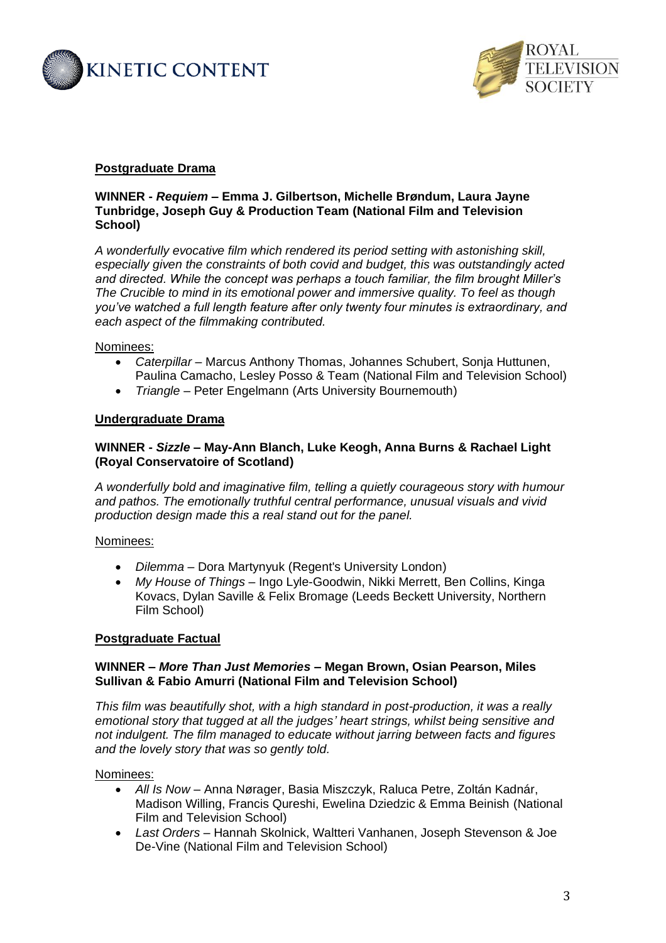



# **Postgraduate Drama**

# **WINNER -** *Requiem* **– Emma J. Gilbertson, Michelle Brøndum, Laura Jayne Tunbridge, Joseph Guy & Production Team (National Film and Television School)**

*A wonderfully evocative film which rendered its period setting with astonishing skill, especially given the constraints of both covid and budget, this was outstandingly acted and directed. While the concept was perhaps a touch familiar, the film brought Miller's The Crucible to mind in its emotional power and immersive quality. To feel as though you've watched a full length feature after only twenty four minutes is extraordinary, and each aspect of the filmmaking contributed.*

# Nominees:

- *Caterpillar* Marcus Anthony Thomas, Johannes Schubert, Sonja Huttunen, Paulina Camacho, Lesley Posso & Team (National Film and Television School)
- *Triangle* Peter Engelmann (Arts University Bournemouth)

# **Undergraduate Drama**

# **WINNER -** *Sizzle* **– May-Ann Blanch, Luke Keogh, Anna Burns & Rachael Light (Royal Conservatoire of Scotland)**

*A wonderfully bold and imaginative film, telling a quietly courageous story with humour and pathos. The emotionally truthful central performance, unusual visuals and vivid production design made this a real stand out for the panel.* 

### Nominees:

- *Dilemma* Dora Martynyuk (Regent's University London)
- *My House of Things* Ingo Lyle-Goodwin, Nikki Merrett, Ben Collins, Kinga Kovacs, Dylan Saville & Felix Bromage (Leeds Beckett University, Northern Film School)

### **Postgraduate Factual**

# **WINNER –** *More Than Just Memories* **– Megan Brown, Osian Pearson, Miles Sullivan & Fabio Amurri (National Film and Television School)**

*This film was beautifully shot, with a high standard in post-production, it was a really emotional story that tugged at all the judges' heart strings, whilst being sensitive and not indulgent. The film managed to educate without jarring between facts and figures and the lovely story that was so gently told.*

### Nominees:

- *All Is Now* Anna Nørager, Basia Miszczyk, Raluca Petre, Zoltán Kadnár, Madison Willing, Francis Qureshi, Ewelina Dziedzic & Emma Beinish (National Film and Television School)
- *Last Orders* Hannah Skolnick, Waltteri Vanhanen, Joseph Stevenson & Joe De-Vine (National Film and Television School)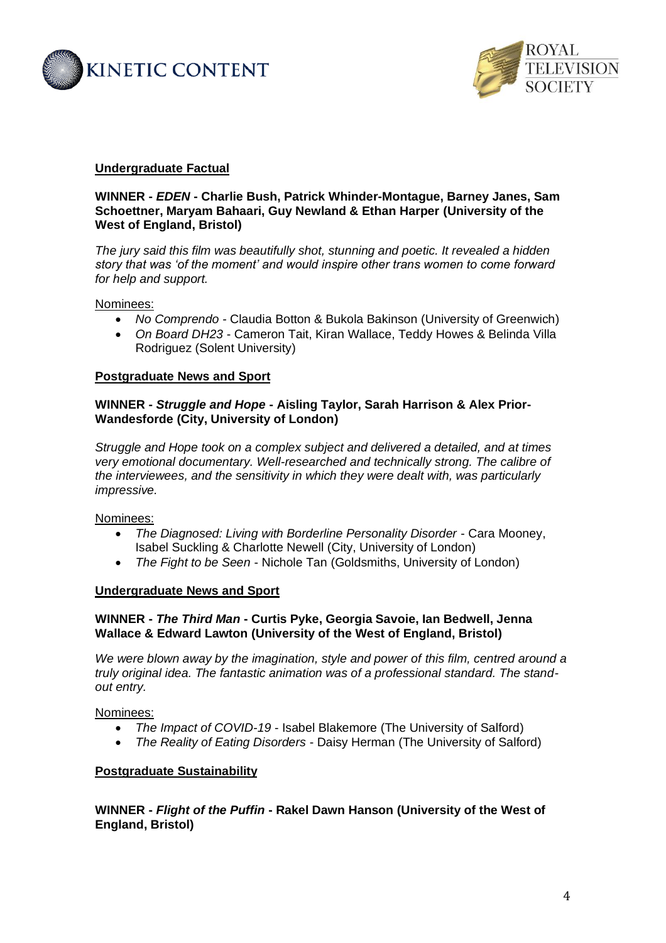



## **Undergraduate Factual**

# **WINNER -** *EDEN* **- Charlie Bush, Patrick Whinder-Montague, Barney Janes, Sam Schoettner, Maryam Bahaari, Guy Newland & Ethan Harper (University of the West of England, Bristol)**

*The jury said this film was beautifully shot, stunning and poetic. It revealed a hidden story that was 'of the moment' and would inspire other trans women to come forward for help and support.*

#### Nominees:

- *No Comprendo -* Claudia Botton & Bukola Bakinson (University of Greenwich)
- *On Board DH23* Cameron Tait, Kiran Wallace, Teddy Howes & Belinda Villa Rodriguez (Solent University)

### **Postgraduate News and Sport**

# **WINNER -** *Struggle and Hope* **- Aisling Taylor, Sarah Harrison & Alex Prior-Wandesforde (City, University of London)**

*Struggle and Hope took on a complex subject and delivered a detailed, and at times very emotional documentary. Well-researched and technically strong. The calibre of the interviewees, and the sensitivity in which they were dealt with, was particularly impressive.* 

### Nominees:

- *The Diagnosed: Living with Borderline Personality Disorder* Cara Mooney, Isabel Suckling & Charlotte Newell (City, University of London)
- *The Fight to be Seen* Nichole Tan (Goldsmiths, University of London)

### **Undergraduate News and Sport**

# **WINNER -** *The Third Man* **- Curtis Pyke, Georgia Savoie, Ian Bedwell, Jenna Wallace & Edward Lawton (University of the West of England, Bristol)**

*We were blown away by the imagination, style and power of this film, centred around a truly original idea. The fantastic animation was of a professional standard. The standout entry.*

Nominees:

- *The Impact of COVID-19* Isabel Blakemore (The University of Salford)
- *The Reality of Eating Disorders* Daisy Herman (The University of Salford)

## **Postgraduate Sustainability**

**WINNER -** *Flight of the Puffin* **- Rakel Dawn Hanson (University of the West of England, Bristol)**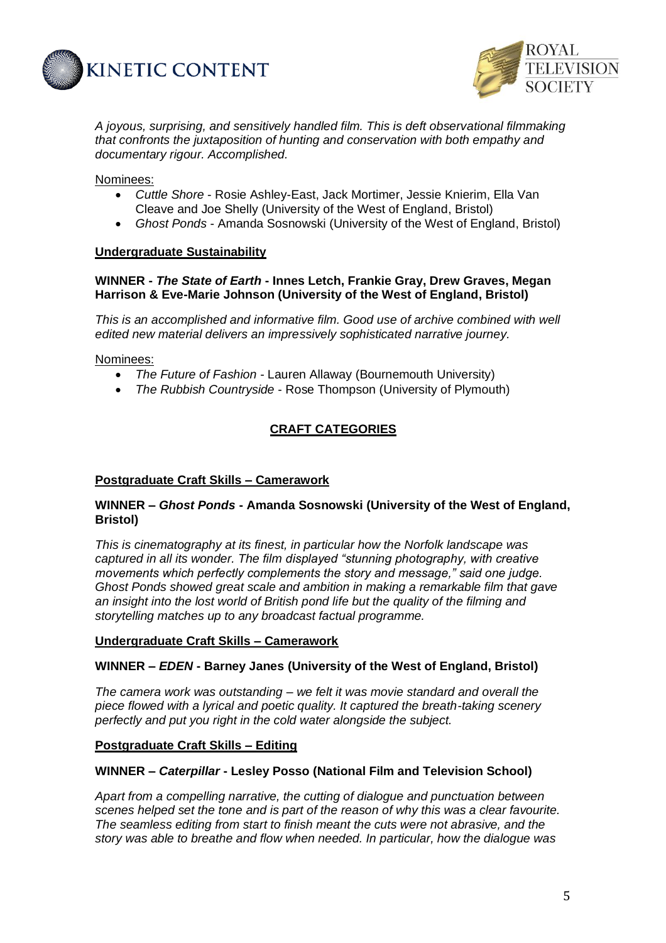



*A joyous, surprising, and sensitively handled film. This is deft observational filmmaking that confronts the juxtaposition of hunting and conservation with both empathy and documentary rigour. Accomplished.* 

# Nominees:

- *Cuttle Shore* Rosie Ashley-East, Jack Mortimer, Jessie Knierim, Ella Van Cleave and Joe Shelly (University of the West of England, Bristol)
- *Ghost Ponds* Amanda Sosnowski (University of the West of England, Bristol)

# **Undergraduate Sustainability**

# **WINNER -** *The State of Earth* **- Innes Letch, Frankie Gray, Drew Graves, Megan Harrison & Eve-Marie Johnson (University of the West of England, Bristol)**

*This is an accomplished and informative film. Good use of archive combined with well edited new material delivers an impressively sophisticated narrative journey.* 

### Nominees:

- *The Future of Fashion* Lauren Allaway (Bournemouth University)
- *The Rubbish Countryside* Rose Thompson (University of Plymouth)

# **CRAFT CATEGORIES**

### **Postgraduate Craft Skills – Camerawork**

# **WINNER –** *Ghost Ponds* **- Amanda Sosnowski (University of the West of England, Bristol)**

*This is cinematography at its finest, in particular how the Norfolk landscape was captured in all its wonder. The film displayed "stunning photography, with creative movements which perfectly complements the story and message," said one judge. Ghost Ponds showed great scale and ambition in making a remarkable film that gave an insight into the lost world of British pond life but the quality of the filming and storytelling matches up to any broadcast factual programme.*

### **Undergraduate Craft Skills – Camerawork**

### **WINNER –** *EDEN* **- Barney Janes (University of the West of England, Bristol)**

*The camera work was outstanding – we felt it was movie standard and overall the piece flowed with a lyrical and poetic quality. It captured the breath-taking scenery perfectly and put you right in the cold water alongside the subject.*

## **Postgraduate Craft Skills – Editing**

### **WINNER –** *Caterpillar* **- Lesley Posso (National Film and Television School)**

*Apart from a compelling narrative, the cutting of dialogue and punctuation between scenes helped set the tone and is part of the reason of why this was a clear favourite. The seamless editing from start to finish meant the cuts were not abrasive, and the story was able to breathe and flow when needed. In particular, how the dialogue was*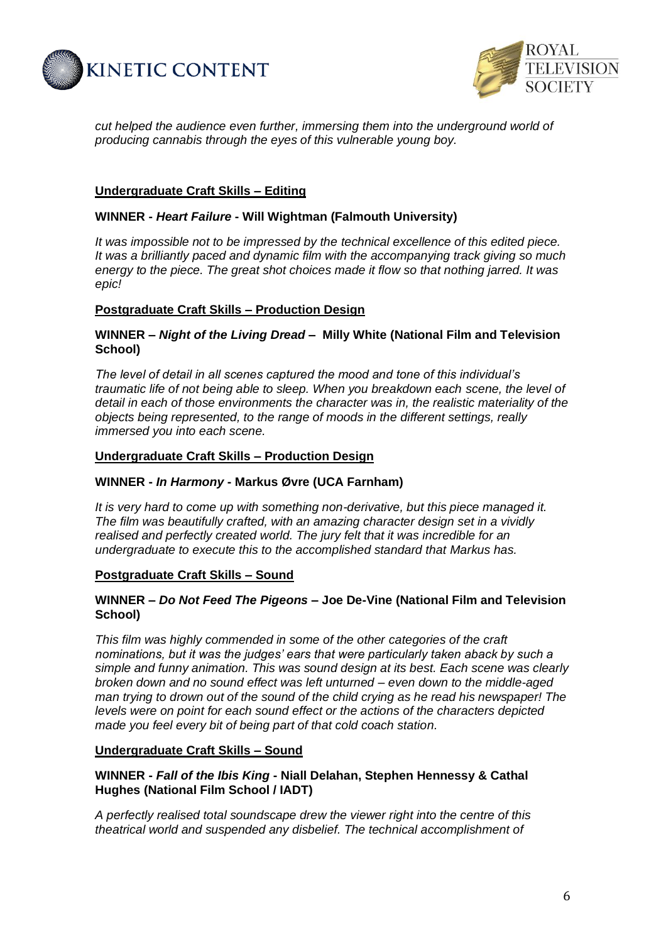



*cut helped the audience even further, immersing them into the underground world of producing cannabis through the eyes of this vulnerable young boy.*

# **Undergraduate Craft Skills – Editing**

# **WINNER -** *Heart Failure* **- Will Wightman (Falmouth University)**

*It was impossible not to be impressed by the technical excellence of this edited piece. It was a brilliantly paced and dynamic film with the accompanying track giving so much energy to the piece. The great shot choices made it flow so that nothing jarred. It was epic!*

# **Postgraduate Craft Skills – Production Design**

# **WINNER –** *Night of the Living Dread* **– Milly White (National Film and Television School)**

*The level of detail in all scenes captured the mood and tone of this individual's traumatic life of not being able to sleep. When you breakdown each scene, the level of detail in each of those environments the character was in, the realistic materiality of the objects being represented, to the range of moods in the different settings, really immersed you into each scene.*

### **Undergraduate Craft Skills – Production Design**

### **WINNER -** *In Harmony* **- Markus Øvre (UCA Farnham)**

*It is very hard to come up with something non-derivative, but this piece managed it. The film was beautifully crafted, with an amazing character design set in a vividly realised and perfectly created world. The jury felt that it was incredible for an undergraduate to execute this to the accomplished standard that Markus has.*

### **Postgraduate Craft Skills – Sound**

# **WINNER –** *Do Not Feed The Pigeons* **– Joe De-Vine (National Film and Television School)**

*This film was highly commended in some of the other categories of the craft nominations, but it was the judges' ears that were particularly taken aback by such a simple and funny animation. This was sound design at its best. Each scene was clearly broken down and no sound effect was left unturned – even down to the middle-aged man trying to drown out of the sound of the child crying as he read his newspaper! The levels were on point for each sound effect or the actions of the characters depicted made you feel every bit of being part of that cold coach station.*

### **Undergraduate Craft Skills – Sound**

**WINNER -** *Fall of the Ibis King* **- Niall Delahan, Stephen Hennessy & Cathal Hughes (National Film School / IADT)**

*A perfectly realised total soundscape drew the viewer right into the centre of this theatrical world and suspended any disbelief. The technical accomplishment of*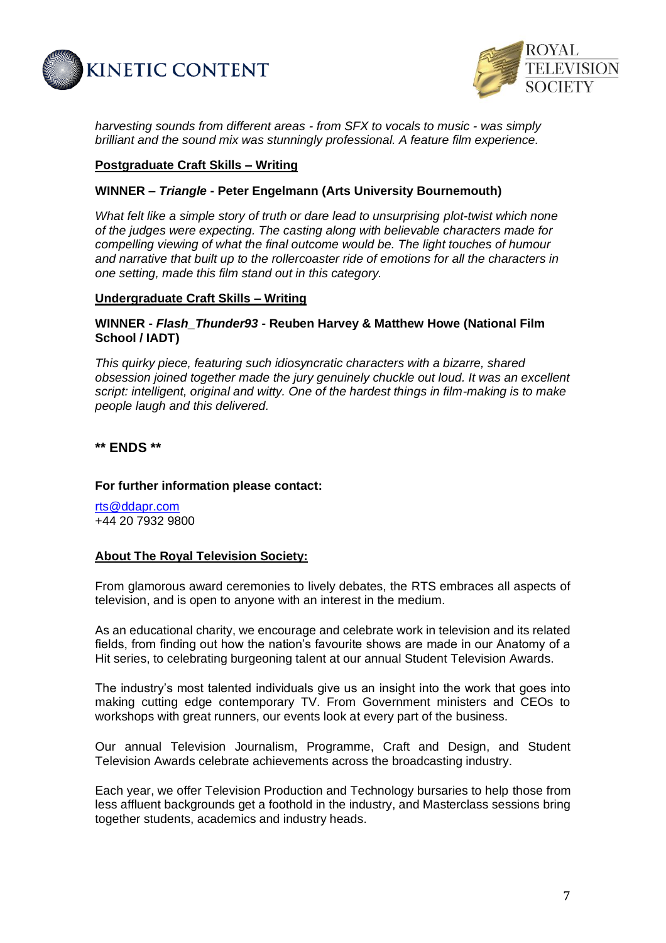



*harvesting sounds from different areas - from SFX to vocals to music - was simply brilliant and the sound mix was stunningly professional. A feature film experience.*

## **Postgraduate Craft Skills – Writing**

# **WINNER –** *Triangle* **- Peter Engelmann (Arts University Bournemouth)**

*What felt like a simple story of truth or dare lead to unsurprising plot-twist which none of the judges were expecting. The casting along with believable characters made for compelling viewing of what the final outcome would be. The light touches of humour and narrative that built up to the rollercoaster ride of emotions for all the characters in one setting, made this film stand out in this category.*

# **Undergraduate Craft Skills – Writing**

# **WINNER -** *Flash\_Thunder93* **- Reuben Harvey & Matthew Howe (National Film School / IADT)**

*This quirky piece, featuring such idiosyncratic characters with a bizarre, shared obsession joined together made the jury genuinely chuckle out loud. It was an excellent script: intelligent, original and witty. One of the hardest things in film-making is to make people laugh and this delivered.*

**\*\* ENDS \*\***

## **For further information please contact:**

[rts@ddapr.com](mailto:rts@ddapr.com) +44 20 7932 9800

# **About The Royal Television Society:**

From glamorous award ceremonies to lively debates, the RTS embraces all aspects of television, and is open to anyone with an interest in the medium.

As an educational charity, we encourage and celebrate work in television and its related fields, from finding out how the nation's favourite shows are made in our Anatomy of a Hit series, to celebrating burgeoning talent at our annual Student Television Awards.

The industry's most talented individuals give us an insight into the work that goes into making cutting edge contemporary TV. From Government ministers and CEOs to workshops with great runners, our events look at every part of the business.

Our annual Television Journalism, Programme, Craft and Design, and Student Television Awards celebrate achievements across the broadcasting industry.

Each year, we offer Television Production and Technology bursaries to help those from less affluent backgrounds get a foothold in the industry, and Masterclass sessions bring together students, academics and industry heads.